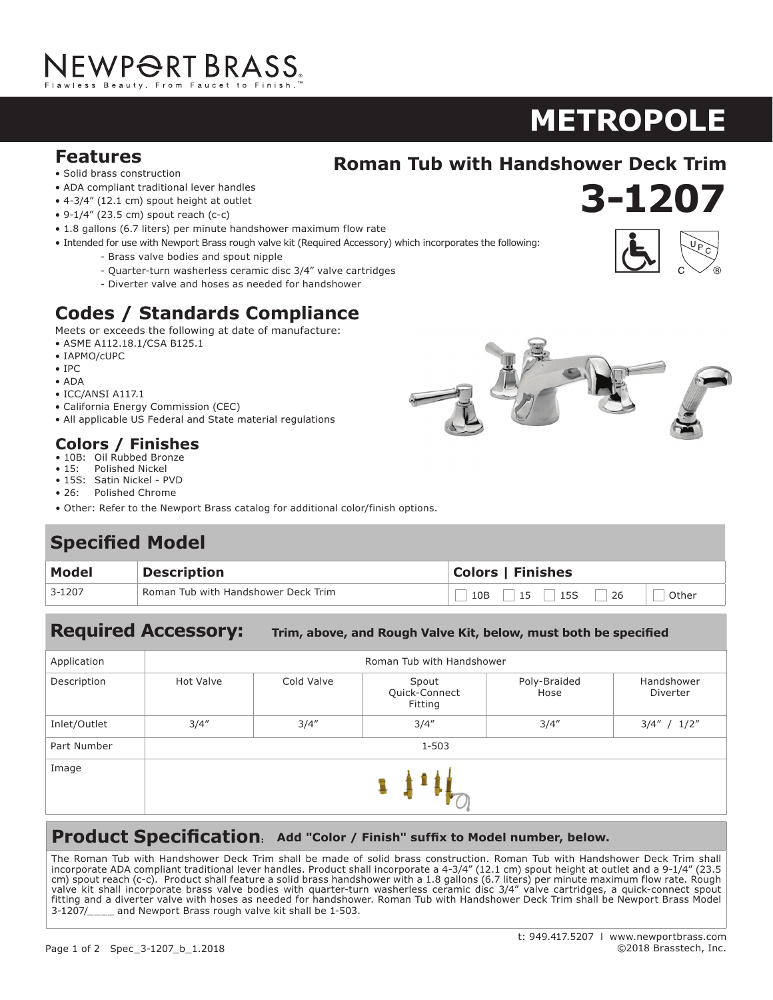# NEWP<del>O</del>RT BRASS.

# $METROPOLE$

**3-1207**

**920**

### **Features**<br> **Roman Tub with Handshower Deck Trim**<br> **Mandshower Deck Trim**

- Solid brass construction
- ADA compliant traditional lever handles
- $\bullet$  4-3/4" (12.1 cm) spout height at outlet
- 9-1/4" (23.5 cm) spout reach (c-c)
- 1.8 gallons (6.7 liters) per minute handshower maximum flow rate
- Intended for use with Newport Brass rough valve kit (Required Accessory) which incorporates the following:
	- Brass valve bodies and spout nipple
	- Quarter-turn washerless ceramic disc 3/4" valve cartridges
	- Diverter valve and hoses as needed for handshower

### **Codes / Standards Compliance**

 $\mathbf{S}=\mathbf{S}^T\mathbf{S}^T\mathbf{S}^T\mathbf{S}^T\mathbf{S}^T\mathbf{S}^T\mathbf{S}^T\mathbf{S}^T\mathbf{S}^T\mathbf{S}^T\mathbf{S}^T\mathbf{S}^T\mathbf{S}^T\mathbf{S}^T\mathbf{S}^T\mathbf{S}^T\mathbf{S}^T\mathbf{S}^T\mathbf{S}^T\mathbf{S}^T\mathbf{S}^T\mathbf{S}^T\mathbf{S}^T\mathbf{S}^T\mathbf{S}^T\mathbf{S}^T\mathbf{S}$ 

Meets or exceeds the following at date of manufacture:<br>example at the spotter at our results

- ASME A112.18.1/CSA B125.1
- IAPMO/cUPC
- IPC
- ADA
- ICC/ANSI A117.1
- California Energy Commission (CEC)
- All applicable US Federal and State material regulations **Codes for the code of the codes of the codes of the codes of the codes of the codes of the codes of the codes**

#### **Colors / Finishes**

- 10B: Oil Rubbed Bronze
- $\bullet$  15: Polished Nickel • 15S: Satin Nickel - PVD
- 26: Polished Chrome
- Other: Refer to the Newport Brass catalog for additional color/finish options.

#### **Specified Model**

| Model  | <b>Description</b>                  | <b>Colors   Finishes</b>        |  |  |
|--------|-------------------------------------|---------------------------------|--|--|
| 3-1207 | Roman Tub with Handshower Deck Trim | 15S<br>26<br>15<br>10B<br>Other |  |  |

#### **Required Accessory:**

Required Accessory: Trim, above, and Rough Valve Kit, below, must both be specified

| Application  | Roman Tub with Handshower |            |                                   |                      |                        |  |
|--------------|---------------------------|------------|-----------------------------------|----------------------|------------------------|--|
| Description  | <b>Hot Valve</b>          | Cold Valve | Spout<br>Quick-Connect<br>Fitting | Poly-Braided<br>Hose | Handshower<br>Diverter |  |
| Inlet/Outlet | 3/4''                     | 3/4''      | 3/4''                             | 3/4''                | $3/4''$ / $1/2''$      |  |
| Part Number  | $1 - 503$                 |            |                                   |                      |                        |  |
| Image        |                           |            |                                   |                      |                        |  |

#### **Product Specification: Add "Color / Finish" suffix to Model number, below.**

The Roman Tub with Handshower Deck Trim shall be made of solid brass construction. Roman Tub with Handshower Deck Trim shall<br>incorporate ADA compliant traditional lever handles Product shall incorporate a 4-3/4" (12.1 cm) incorporate ADA compliant traditional lever handles. Product shall incorporate a 4-3/4" (12.1 cm) spout height at outlet and a 9-1/4" (23.5 cm) spout reach (c-c). Product shall feature a solid brass handshower with a 1.8 gallons (6.7 liters) per minute maximum flow rate. Rough chi) spoucheach (e-c). Thought shall leading a solid brass handshower with a 1.0 gallons (0.7 liters) per minute maximum now rate. Rough<br>valve kit shall incorporate brass valve bodies with quarter-turn washerless ceramic d fitting and a diverter valve with hoses as needed for handshower. Roman Tub with Handshower Deck Trim shall be Newport Brass Model nung and a an even minute manned as necessive management results in the nature metallication of the per minute maximum centers of the computation of 3-1207/\_\_\_\_ and Newport Brass rough valve kit shall be 1-503. incorporate a 1-7/16" (3.7 cm) spout height at  $\sim$  5.5 cm  $\sim$  5.7 cm  $\sim$  5.7 cm  $\sim$  5.7 cm  $\sim$  5.7 cm  $\sim$  5.7 cm  $\sim$  5.7 cm  $\sim$  5.7 cm  $\sim$  5.7 cm  $\sim$  5.7 cm  $\sim$  5.7 cm  $\sim$  5.7 cm  $\sim$  5.7 cm  $\sim$  5.7 cm  $\sim$  5



• 15S: Satin Nickel